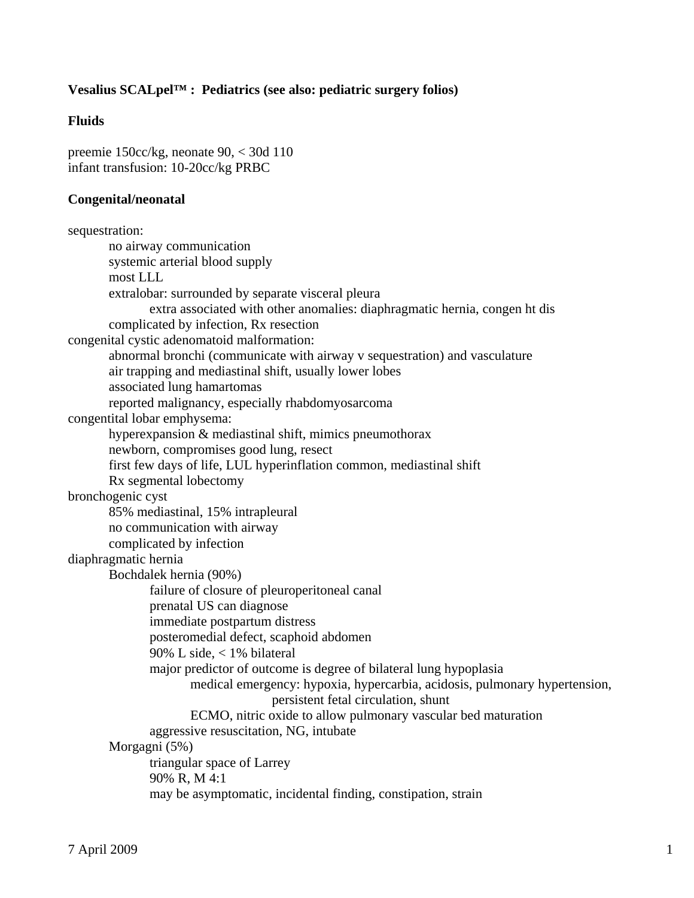### **Vesalius SCALpel™ : Pediatrics (see also: pediatric surgery folios)**

### **Fluids**

preemie 150cc/kg, neonate 90, < 30d 110 infant transfusion: 10-20cc/kg PRBC

#### **Congenital/neonatal**

```
sequestration: 
        no airway communication 
        systemic arterial blood supply 
        most LLL 
        extralobar: surrounded by separate visceral pleura 
                extra associated with other anomalies: diaphragmatic hernia, congen ht dis 
        complicated by infection, Rx resection 
congenital cystic adenomatoid malformation: 
        abnormal bronchi (communicate with airway v sequestration) and vasculature 
        air trapping and mediastinal shift, usually lower lobes 
        associated lung hamartomas 
        reported malignancy, especially rhabdomyosarcoma 
congentital lobar emphysema: 
        hyperexpansion & mediastinal shift, mimics pneumothorax 
        newborn, compromises good lung, resect 
        first few days of life, LUL hyperinflation common, mediastinal shift 
        Rx segmental lobectomy 
bronchogenic cyst 
        85% mediastinal, 15% intrapleural 
        no communication with airway 
        complicated by infection 
diaphragmatic hernia 
        Bochdalek hernia (90%) 
                failure of closure of pleuroperitoneal canal 
                prenatal US can diagnose 
                immediate postpartum distress 
                posteromedial defect, scaphoid abdomen 
                90% L side, < 1% bilateral 
                major predictor of outcome is degree of bilateral lung hypoplasia 
                       medical emergency: hypoxia, hypercarbia, acidosis, pulmonary hypertension, 
                                       persistent fetal circulation, shunt 
                       ECMO, nitric oxide to allow pulmonary vascular bed maturation 
                aggressive resuscitation, NG, intubate 
        Morgagni (5%) 
                triangular space of Larrey 
                90% R, M 4:1 
                may be asymptomatic, incidental finding, constipation, strain
```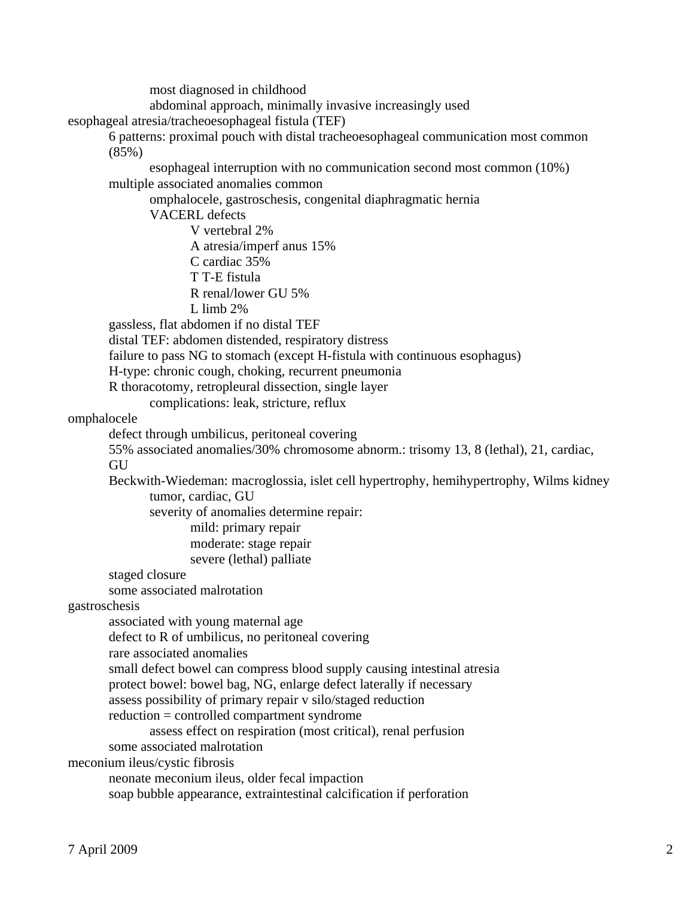most diagnosed in childhood

abdominal approach, minimally invasive increasingly used

esophageal atresia/tracheoesophageal fistula (TEF)

 6 patterns: proximal pouch with distal tracheoesophageal communication most common  $(85%)$ 

 esophageal interruption with no communication second most common (10%) multiple associated anomalies common

omphalocele, gastroschesis, congenital diaphragmatic hernia

VACERL defects

V vertebral 2%

A atresia/imperf anus 15%

C cardiac 35%

T T-E fistula

R renal/lower GU 5%

L limb  $2\%$ 

gassless, flat abdomen if no distal TEF

distal TEF: abdomen distended, respiratory distress

failure to pass NG to stomach (except H-fistula with continuous esophagus)

H-type: chronic cough, choking, recurrent pneumonia

R thoracotomy, retropleural dissection, single layer

complications: leak, stricture, reflux

omphalocele

defect through umbilicus, peritoneal covering

 55% associated anomalies/30% chromosome abnorm.: trisomy 13, 8 (lethal), 21, cardiac, **GU** 

 Beckwith-Wiedeman: macroglossia, islet cell hypertrophy, hemihypertrophy, Wilms kidney tumor, cardiac, GU

severity of anomalies determine repair:

mild: primary repair

moderate: stage repair

severe (lethal) palliate

staged closure

some associated malrotation

gastroschesis

associated with young maternal age

defect to R of umbilicus, no peritoneal covering

rare associated anomalies

small defect bowel can compress blood supply causing intestinal atresia

protect bowel: bowel bag, NG, enlarge defect laterally if necessary

assess possibility of primary repair v silo/staged reduction

reduction = controlled compartment syndrome

assess effect on respiration (most critical), renal perfusion

some associated malrotation

meconium ileus/cystic fibrosis

neonate meconium ileus, older fecal impaction

soap bubble appearance, extraintestinal calcification if perforation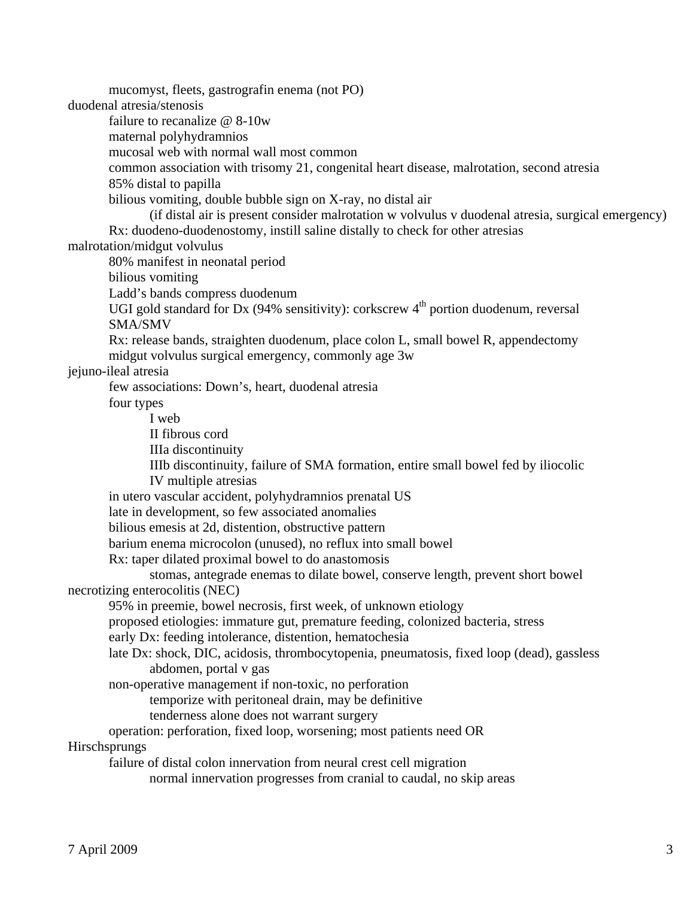mucomyst, fleets, gastrografin enema (not PO)

duodenal atresia/stenosis

failure to recanalize @ 8-10w

maternal polyhydramnios

mucosal web with normal wall most common

common association with trisomy 21, congenital heart disease, malrotation, second atresia

85% distal to papilla

bilious vomiting, double bubble sign on X-ray, no distal air

 (if distal air is present consider malrotation w volvulus v duodenal atresia, surgical emergency) Rx: duodeno-duodenostomy, instill saline distally to check for other atresias

malrotation/midgut volvulus

80% manifest in neonatal period

bilious vomiting

Ladd's bands compress duodenum

UGI gold standard for Dx  $(94\%$  sensitivity): corkscrew  $4<sup>th</sup>$  portion duodenum, reversal SMA/SMV

 Rx: release bands, straighten duodenum, place colon L, small bowel R, appendectomy midgut volvulus surgical emergency, commonly age 3w

jejuno-ileal atresia

few associations: Down's, heart, duodenal atresia

four types

I web

II fibrous cord

IIIa discontinuity

 IIIb discontinuity, failure of SMA formation, entire small bowel fed by iliocolic IV multiple atresias

in utero vascular accident, polyhydramnios prenatal US

late in development, so few associated anomalies

bilious emesis at 2d, distention, obstructive pattern

barium enema microcolon (unused), no reflux into small bowel

Rx: taper dilated proximal bowel to do anastomosis

 stomas, antegrade enemas to dilate bowel, conserve length, prevent short bowel necrotizing enterocolitis (NEC)

95% in preemie, bowel necrosis, first week, of unknown etiology

proposed etiologies: immature gut, premature feeding, colonized bacteria, stress

early Dx: feeding intolerance, distention, hematochesia

 late Dx: shock, DIC, acidosis, thrombocytopenia, pneumatosis, fixed loop (dead), gassless abdomen, portal v gas

non-operative management if non-toxic, no perforation

temporize with peritoneal drain, may be definitive

tenderness alone does not warrant surgery

operation: perforation, fixed loop, worsening; most patients need OR

Hirschsprungs

failure of distal colon innervation from neural crest cell migration

normal innervation progresses from cranial to caudal, no skip areas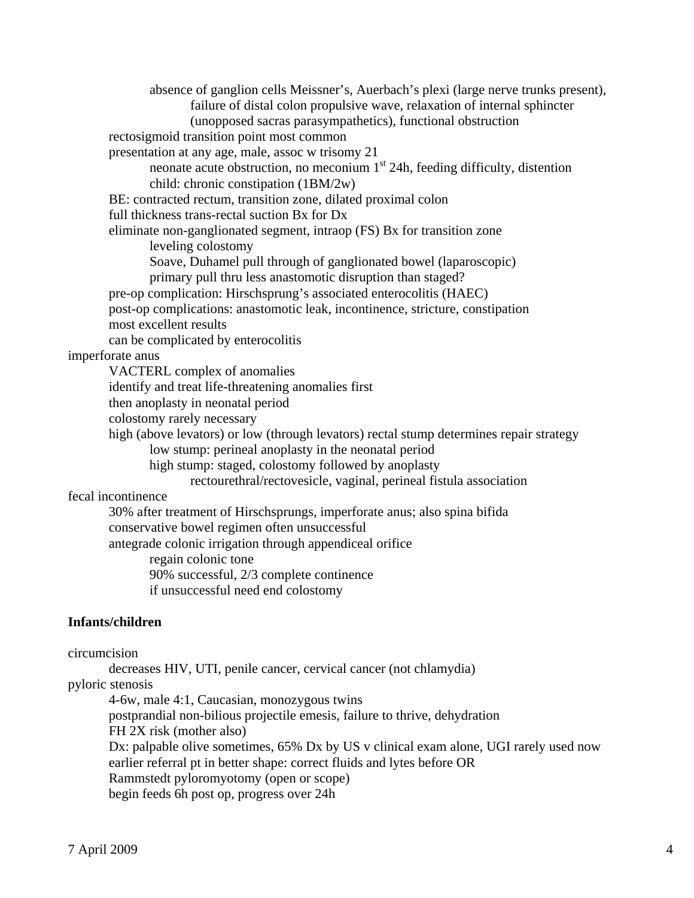absence of ganglion cells Meissner's, Auerbach's plexi (large nerve trunks present), failure of distal colon propulsive wave, relaxation of internal sphincter (unopposed sacras parasympathetics), functional obstruction rectosigmoid transition point most common presentation at any age, male, assoc w trisomy 21 neonate acute obstruction, no meconium 1<sup>st</sup> 24h, feeding difficulty, distention child: chronic constipation (1BM/2w) BE: contracted rectum, transition zone, dilated proximal colon full thickness trans-rectal suction Bx for Dx eliminate non-ganglionated segment, intraop (FS) Bx for transition zone leveling colostomy Soave, Duhamel pull through of ganglionated bowel (laparoscopic) primary pull thru less anastomotic disruption than staged? pre-op complication: Hirschsprung's associated enterocolitis (HAEC) post-op complications: anastomotic leak, incontinence, stricture, constipation most excellent results can be complicated by enterocolitis imperforate anus VACTERL complex of anomalies identify and treat life-threatening anomalies first then anoplasty in neonatal period colostomy rarely necessary high (above levators) or low (through levators) rectal stump determines repair strategy low stump: perineal anoplasty in the neonatal period high stump: staged, colostomy followed by anoplasty rectourethral/rectovesicle, vaginal, perineal fistula association fecal incontinence 30% after treatment of Hirschsprungs, imperforate anus; also spina bifida conservative bowel regimen often unsuccessful antegrade colonic irrigation through appendiceal orifice regain colonic tone 90% successful, 2/3 complete continence if unsuccessful need end colostomy **Infants/children**  circumcision decreases HIV, UTI, penile cancer, cervical cancer (not chlamydia)

pyloric stenosis

 4-6w, male 4:1, Caucasian, monozygous twins postprandial non-bilious projectile emesis, failure to thrive, dehydration FH 2X risk (mother also) Dx: palpable olive sometimes, 65% Dx by US v clinical exam alone, UGI rarely used now earlier referral pt in better shape: correct fluids and lytes before OR Rammstedt pyloromyotomy (open or scope) begin feeds 6h post op, progress over 24h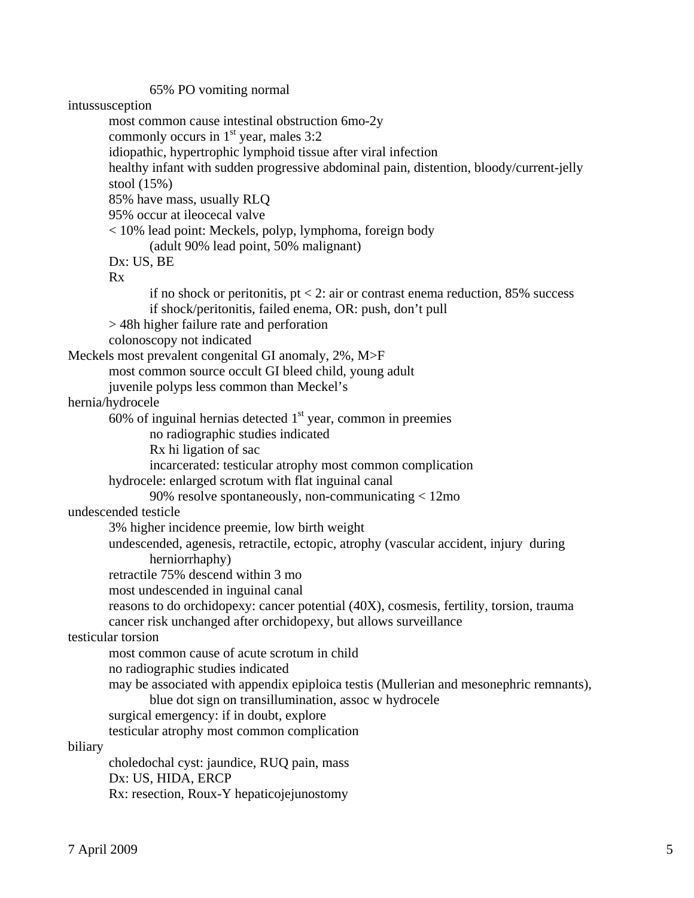65% PO vomiting normal intussusception most common cause intestinal obstruction 6mo-2y commonly occurs in  $1<sup>st</sup>$  year, males 3:2 idiopathic, hypertrophic lymphoid tissue after viral infection healthy infant with sudden progressive abdominal pain, distention, bloody/current-jelly stool (15%) 85% have mass, usually RLQ 95% occur at ileocecal valve < 10% lead point: Meckels, polyp, lymphoma, foreign body (adult 90% lead point, 50% malignant) Dx: US, BE Rx if no shock or peritonitis,  $pt < 2$ : air or contrast enema reduction, 85% success if shock/peritonitis, failed enema, OR: push, don't pull > 48h higher failure rate and perforation colonoscopy not indicated Meckels most prevalent congenital GI anomaly, 2%, M>F most common source occult GI bleed child, young adult juvenile polyps less common than Meckel's hernia/hydrocele 60% of inguinal hernias detected  $1<sup>st</sup>$  year, common in preemies no radiographic studies indicated Rx hi ligation of sac incarcerated: testicular atrophy most common complication hydrocele: enlarged scrotum with flat inguinal canal 90% resolve spontaneously, non-communicating < 12mo undescended testicle 3% higher incidence preemie, low birth weight undescended, agenesis, retractile, ectopic, atrophy (vascular accident, injury during herniorrhaphy) retractile 75% descend within 3 mo most undescended in inguinal canal reasons to do orchidopexy: cancer potential (40X), cosmesis, fertility, torsion, trauma cancer risk unchanged after orchidopexy, but allows surveillance testicular torsion most common cause of acute scrotum in child no radiographic studies indicated may be associated with appendix epiploica testis (Mullerian and mesonephric remnants), blue dot sign on transillumination, assoc w hydrocele surgical emergency: if in doubt, explore testicular atrophy most common complication biliary choledochal cyst: jaundice, RUQ pain, mass Dx: US, HIDA, ERCP Rx: resection, Roux-Y hepaticojejunostomy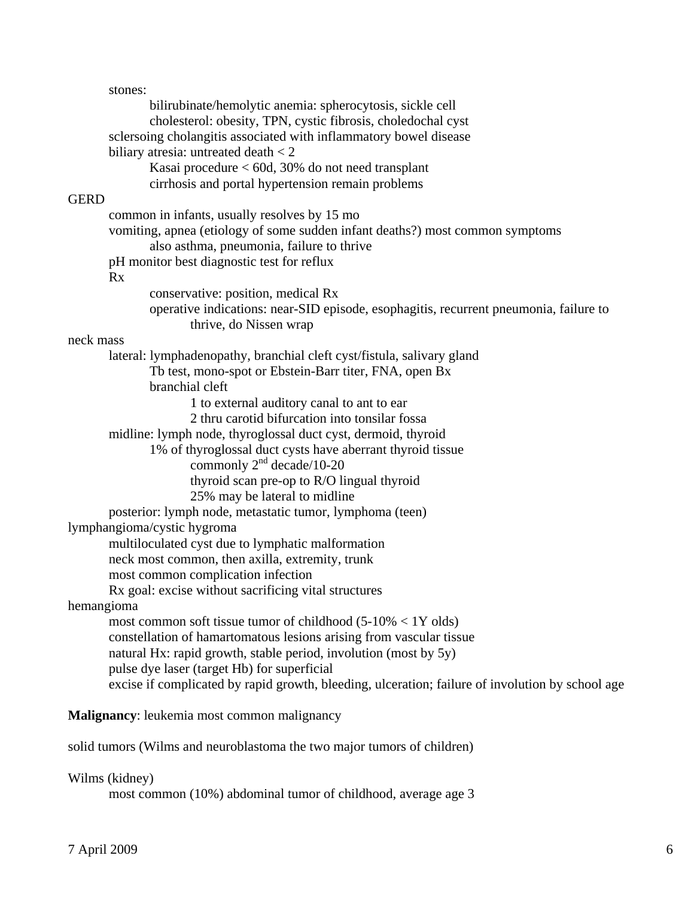stones: bilirubinate/hemolytic anemia: spherocytosis, sickle cell cholesterol: obesity, TPN, cystic fibrosis, choledochal cyst sclersoing cholangitis associated with inflammatory bowel disease biliary atresia: untreated death  $<$  2 Kasai procedure < 60d, 30% do not need transplant cirrhosis and portal hypertension remain problems **GERD**  common in infants, usually resolves by 15 mo vomiting, apnea (etiology of some sudden infant deaths?) most common symptoms also asthma, pneumonia, failure to thrive pH monitor best diagnostic test for reflux Rx conservative: position, medical Rx operative indications: near-SID episode, esophagitis, recurrent pneumonia, failure to thrive, do Nissen wrap neck mass lateral: lymphadenopathy, branchial cleft cyst/fistula, salivary gland Tb test, mono-spot or Ebstein-Barr titer, FNA, open Bx branchial cleft 1 to external auditory canal to ant to ear 2 thru carotid bifurcation into tonsilar fossa midline: lymph node, thyroglossal duct cyst, dermoid, thyroid 1% of thyroglossal duct cysts have aberrant thyroid tissue commonly  $2<sup>nd</sup>$  decade/10-20 thyroid scan pre-op to R/O lingual thyroid 25% may be lateral to midline posterior: lymph node, metastatic tumor, lymphoma (teen) lymphangioma/cystic hygroma multiloculated cyst due to lymphatic malformation neck most common, then axilla, extremity, trunk most common complication infection Rx goal: excise without sacrificing vital structures hemangioma most common soft tissue tumor of childhood (5-10% < 1Y olds) constellation of hamartomatous lesions arising from vascular tissue natural Hx: rapid growth, stable period, involution (most by 5y) pulse dye laser (target Hb) for superficial excise if complicated by rapid growth, bleeding, ulceration; failure of involution by school age **Malignancy**: leukemia most common malignancy

solid tumors (Wilms and neuroblastoma the two major tumors of children)

## Wilms (kidney)

most common (10%) abdominal tumor of childhood, average age 3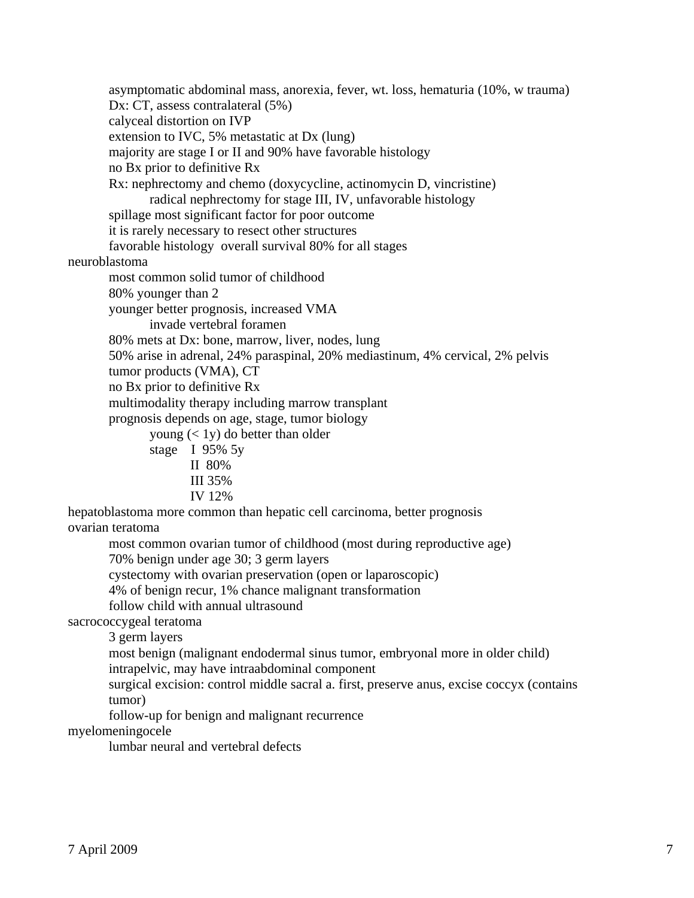asymptomatic abdominal mass, anorexia, fever, wt. loss, hematuria (10%, w trauma) Dx: CT, assess contralateral  $(5%)$  calyceal distortion on IVP extension to IVC, 5% metastatic at Dx (lung) majority are stage I or II and 90% have favorable histology no Bx prior to definitive Rx Rx: nephrectomy and chemo (doxycycline, actinomycin D, vincristine) radical nephrectomy for stage III, IV, unfavorable histology spillage most significant factor for poor outcome it is rarely necessary to resect other structures favorable histology overall survival 80% for all stages neuroblastoma most common solid tumor of childhood 80% younger than 2 younger better prognosis, increased VMA invade vertebral foramen 80% mets at Dx: bone, marrow, liver, nodes, lung 50% arise in adrenal, 24% paraspinal, 20% mediastinum, 4% cervical, 2% pelvis tumor products (VMA), CT no Bx prior to definitive Rx multimodality therapy including marrow transplant prognosis depends on age, stage, tumor biology young (< 1y) do better than older stage I 95% 5y II 80% III 35% IV 12% hepatoblastoma more common than hepatic cell carcinoma, better prognosis ovarian teratoma most common ovarian tumor of childhood (most during reproductive age) 70% benign under age 30; 3 germ layers cystectomy with ovarian preservation (open or laparoscopic) 4% of benign recur, 1% chance malignant transformation follow child with annual ultrasound sacrococcygeal teratoma 3 germ layers most benign (malignant endodermal sinus tumor, embryonal more in older child) intrapelvic, may have intraabdominal component surgical excision: control middle sacral a. first, preserve anus, excise coccyx (contains tumor) follow-up for benign and malignant recurrence myelomeningocele lumbar neural and vertebral defects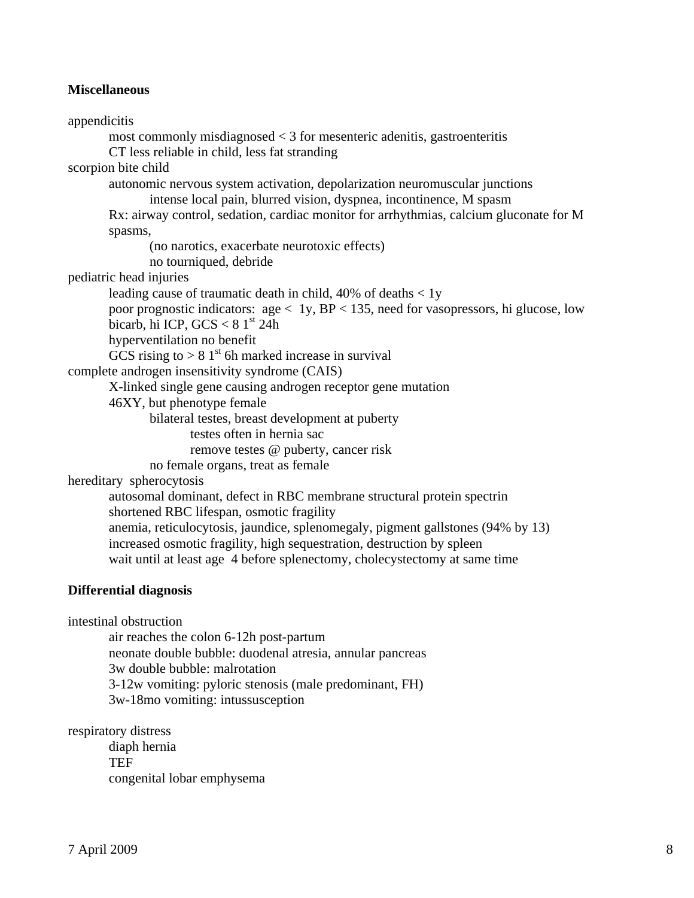#### **Miscellaneous**

appendicitis most commonly misdiagnosed  $<$  3 for mesenteric adenitis, gastroenteritis CT less reliable in child, less fat stranding scorpion bite child autonomic nervous system activation, depolarization neuromuscular junctions intense local pain, blurred vision, dyspnea, incontinence, M spasm Rx: airway control, sedation, cardiac monitor for arrhythmias, calcium gluconate for M spasms, (no narotics, exacerbate neurotoxic effects) no tourniqued, debride pediatric head injuries leading cause of traumatic death in child, 40% of deaths < 1y poor prognostic indicators:  $age < 1y$ ,  $BP < 135$ , need for vasopressors, hi glucose, low bicarb, hi ICP,  $GCS < 81<sup>st</sup> 24h$  hyperventilation no benefit GCS rising to  $> 81<sup>st</sup>$  6h marked increase in survival complete androgen insensitivity syndrome (CAIS) X-linked single gene causing androgen receptor gene mutation 46XY, but phenotype female bilateral testes, breast development at puberty testes often in hernia sac remove testes @ puberty, cancer risk no female organs, treat as female hereditary spherocytosis autosomal dominant, defect in RBC membrane structural protein spectrin shortened RBC lifespan, osmotic fragility anemia, reticulocytosis, jaundice, splenomegaly, pigment gallstones (94% by 13) increased osmotic fragility, high sequestration, destruction by spleen wait until at least age 4 before splenectomy, cholecystectomy at same time **Differential diagnosis**  intestinal obstruction air reaches the colon 6-12h post-partum neonate double bubble: duodenal atresia, annular pancreas 3w double bubble: malrotation

3-12w vomiting: pyloric stenosis (male predominant, FH)

3w-18mo vomiting: intussusception

congenital lobar emphysema

7 April 2009 8

respiratory distress

TEF

diaph hernia